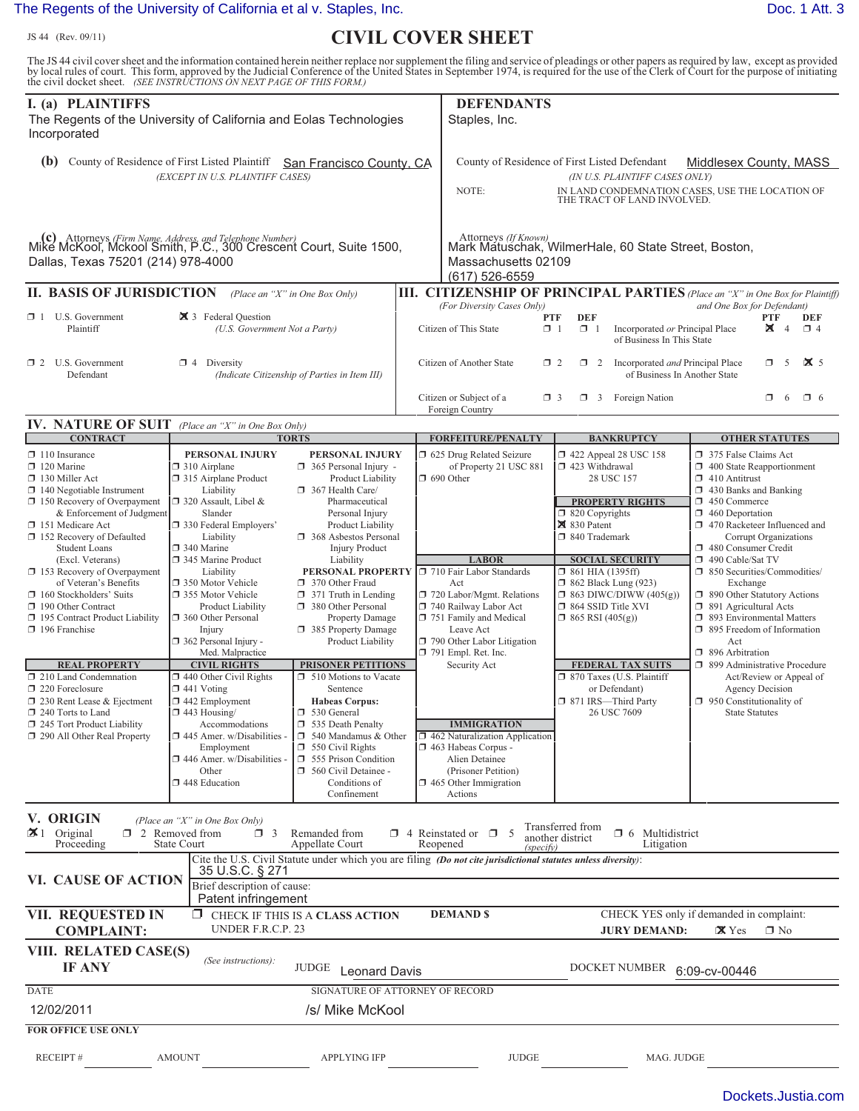## [The Regents of the University of California et al v. Staples, Inc.](http://dockets.justia.com/docket/texas/txedce/6:2011cv00646/133901/) **[Doc. 1 Att. 3](http://docs.justia.com/cases/federal/district-courts/texas/txedce/6:2011cv00646/133901/1/3.html)** Doc. 1 Att. 3

JS 44 (Rev. 09/11)

## ) **CIVIL COVER SHEET**

The JS 44 civil cover sheet and the information contained herein neither replace nor supplement the filing and service of pleadings or other papers as required by law, except as provided<br>by local rules of court. This form,

| I. (a) PLAINTIFFS<br>The Regents of the University of California and Eolas Technologies<br>Incorporated                                                                                                                                            |                                                                                                                                                                                                                                                   |                                                                                                                                                                                                                                                                                                                                                                 |  | <b>DEFENDANTS</b><br>Staples, Inc.                                                                                                                                                                                                  |                                                                                                                                                                                                                                                                                                                                                                                                                      |                                                                                                                                                                                                                                |
|----------------------------------------------------------------------------------------------------------------------------------------------------------------------------------------------------------------------------------------------------|---------------------------------------------------------------------------------------------------------------------------------------------------------------------------------------------------------------------------------------------------|-----------------------------------------------------------------------------------------------------------------------------------------------------------------------------------------------------------------------------------------------------------------------------------------------------------------------------------------------------------------|--|-------------------------------------------------------------------------------------------------------------------------------------------------------------------------------------------------------------------------------------|----------------------------------------------------------------------------------------------------------------------------------------------------------------------------------------------------------------------------------------------------------------------------------------------------------------------------------------------------------------------------------------------------------------------|--------------------------------------------------------------------------------------------------------------------------------------------------------------------------------------------------------------------------------|
| (b) County of Residence of First Listed Plaintiff<br>San Francisco County, CA<br>(EXCEPT IN U.S. PLAINTIFF CASES)                                                                                                                                  |                                                                                                                                                                                                                                                   |                                                                                                                                                                                                                                                                                                                                                                 |  | NOTE:                                                                                                                                                                                                                               | County of Residence of First Listed Defendant<br>(IN U.S. PLAINTIFF CASES ONLY)<br>THE TRACT OF LAND INVOLVED.                                                                                                                                                                                                                                                                                                       | Middlesex County, MASS<br>IN LAND CONDEMNATION CASES, USE THE LOCATION OF                                                                                                                                                      |
| (c) Attorneys (Firm Name, Address, and Telephone Number)<br>Mike McKool, Mckool Smith, P.C., 300 Crescent Court, Suite 1500,<br>Dallas, Texas 75201 (214) 978-4000                                                                                 |                                                                                                                                                                                                                                                   |                                                                                                                                                                                                                                                                                                                                                                 |  | Attorneys (If Known)<br>Massachusetts 02109<br>(617) 526-6559                                                                                                                                                                       | Mark Matuschak, WilmerHale, 60 State Street, Boston,                                                                                                                                                                                                                                                                                                                                                                 |                                                                                                                                                                                                                                |
| <b>II. BASIS OF JURISDICTION</b>                                                                                                                                                                                                                   |                                                                                                                                                                                                                                                   | (Place an "X" in One Box Only)                                                                                                                                                                                                                                                                                                                                  |  |                                                                                                                                                                                                                                     |                                                                                                                                                                                                                                                                                                                                                                                                                      | <b>III. CITIZENSHIP OF PRINCIPAL PARTIES</b> (Place an "X" in One Box for Plaintiff)                                                                                                                                           |
| $\Box$ 1 U.S. Government<br>Plaintiff                                                                                                                                                                                                              | 3 Federal Question<br>(U.S. Government Not a Party)                                                                                                                                                                                               |                                                                                                                                                                                                                                                                                                                                                                 |  | (For Diversity Cases Only)<br><b>PTF</b><br>$\Box$ 1<br>Citizen of This State                                                                                                                                                       | <b>DEF</b><br>$\Box$ 1<br>Incorporated or Principal Place<br>of Business In This State                                                                                                                                                                                                                                                                                                                               | and One Box for Defendant)<br><b>PTF</b><br>DEF<br>x<br>$\overline{4}$<br>$\Box$ 4                                                                                                                                             |
| $\Box$ 2 U.S. Government<br>Defendant                                                                                                                                                                                                              | $\Box$ 4 Diversity<br>(Indicate Citizenship of Parties in Item III)                                                                                                                                                                               |                                                                                                                                                                                                                                                                                                                                                                 |  | Citizen of Another State                                                                                                                                                                                                            | 1 2 Incorporated <i>and</i> Principal Place<br>$\Box$ 2<br>of Business In Another State                                                                                                                                                                                                                                                                                                                              | $\mathbf{X}$ 5<br>ο.<br>- 5                                                                                                                                                                                                    |
|                                                                                                                                                                                                                                                    |                                                                                                                                                                                                                                                   |                                                                                                                                                                                                                                                                                                                                                                 |  | Citizen or Subject of a<br>Foreign Country                                                                                                                                                                                          | $\Box$ 3<br>$\Box$ 3 Foreign Nation                                                                                                                                                                                                                                                                                                                                                                                  | $\Box$ 6<br>$\Box$ 6                                                                                                                                                                                                           |
| <b>IV. NATURE OF SUIT</b> (Place an "X" in One Box Only)<br><b>CONTRACT</b>                                                                                                                                                                        |                                                                                                                                                                                                                                                   | <b>TORTS</b>                                                                                                                                                                                                                                                                                                                                                    |  | <b>FORFEITURE/PENALTY</b>                                                                                                                                                                                                           | <b>BANKRUPTCY</b>                                                                                                                                                                                                                                                                                                                                                                                                    | <b>OTHER STATUTES</b>                                                                                                                                                                                                          |
| $\Box$ 110 Insurance<br>$\Box$ 120 Marine<br>$\Box$ 130 Miller Act<br>$\Box$ 140 Negotiable Instrument<br>$\Box$ 150 Recovery of Overpayment<br>& Enforcement of Judgment<br>151 Medicare Act<br>152 Recovery of Defaulted<br><b>Student Loans</b> | PERSONAL INJURY<br>$\Box$ 310 Airplane<br>315 Airplane Product<br>Liability<br>$\Box$ 320 Assault, Libel &<br>Slander<br>□ 330 Federal Employers'<br>Liability<br>□ 340 Marine                                                                    | PERSONAL INJURY<br>$\Box$ 365 Personal Injury -<br><b>Product Liability</b><br>367 Health Care/<br>Pharmaceutical<br>Personal Injury<br>Product Liability<br>368 Asbestos Personal<br><b>Injury Product</b><br>Liability<br>370 Other Fraud<br>$\Box$ 371 Truth in Lending<br>380 Other Personal<br>Property Damage<br>385 Property Damage<br>Product Liability |  | 1 625 Drug Related Seizure<br>of Property 21 USC 881<br>$\Box$ 690 Other                                                                                                                                                            | 1422 Appeal 28 USC 158<br>375 False Claims Act<br>$\Box$ 423 Withdrawal<br>$\Box$ 400 State Reapportionment<br>28 USC 157<br>$\Box$ 410 Antitrust<br>$\Box$ 430 Banks and Banking<br><b>PROPERTY RIGHTS</b><br>1 450 Commerce<br>$\Box$ 820 Copyrights<br>$\Box$ 460 Deportation<br>$\boxtimes$ 830 Patent<br>$\Box$ 470 Racketeer Influenced and<br>□ 840 Trademark<br>Corrupt Organizations<br>480 Consumer Credit |                                                                                                                                                                                                                                |
| (Excl. Veterans)<br>153 Recovery of Overpayment<br>of Veteran's Benefits<br>160 Stockholders' Suits<br>190 Other Contract<br>195 Contract Product Liability<br>196 Franchise                                                                       | 345 Marine Product<br>Liability<br>□ 350 Motor Vehicle<br>□ 355 Motor Vehicle<br><b>Product Liability</b><br>360 Other Personal<br>Injury<br>$\Box$ 362 Personal Injury -<br>Med. Malpractice                                                     |                                                                                                                                                                                                                                                                                                                                                                 |  | <b>LABOR</b><br><b>PERSONAL PROPERTY</b> J 710 Fair Labor Standards<br>Act<br>720 Labor/Mgmt. Relations<br>740 Railway Labor Act<br>751 Family and Medical<br>Leave Act<br>790 Other Labor Litigation<br>$\Box$ 791 Empl. Ret. Inc. | <b>SOCIAL SECURITY</b><br>$\Box$ 861 HIA (1395ff)<br>$\Box$ 862 Black Lung (923)<br>$\Box$ 863 DIWC/DIWW (405(g))<br>$\Box$ 864 SSID Title XVI<br>$\Box$ 865 RSI (405(g))                                                                                                                                                                                                                                            | 490 Cable/Sat TV<br>□ 850 Securities/Commodities/<br>Exchange<br>□ 890 Other Statutory Actions<br>$\Box$ 891 Agricultural Acts<br>□ 893 Environmental Matters<br>$\Box$ 895 Freedom of Information<br>Act<br>□ 896 Arbitration |
| <b>REAL PROPERTY</b><br>210 Land Condemnation<br>$\Box$ 220 Foreclosure<br>$\Box$ 230 Rent Lease & Ejectment<br>$\Box$ 240 Torts to Land<br>245 Tort Product Liability<br>290 All Other Real Property                                              | <b>CIVIL RIGHTS</b><br>$\Box$ 440 Other Civil Rights<br>$\Box$ 441 Voting<br>$\Box$ 442 Employment<br>$\Box$ 443 Housing/<br>Accommodations<br>445 Amer. w/Disabilities -<br>Employment<br>446 Amer. w/Disabilities -<br>Other<br>1 448 Education | <b>PRISONER PETITIONS</b><br>510 Motions to Vacate<br>Sentence<br><b>Habeas Corpus:</b><br>$\Box$ 530 General<br>535 Death Penalty<br>$\Box$ 540 Mandamus & Other<br>$\Box$ 550 Civil Rights<br>555 Prison Condition<br>560 Civil Detainee -<br>Conditions of<br>Confinement                                                                                    |  | Security Act<br><b>IMMIGRATION</b><br>□ 462 Naturalization Application<br>$\Box$ 463 Habeas Corpus -<br>Alien Detainee<br>(Prisoner Petition)<br>$\Box$ 465 Other Immigration<br>Actions                                            | <b>FEDERAL TAX SUITS</b><br>□ 870 Taxes (U.S. Plaintiff<br>or Defendant)<br>□ 871 IRS-Third Party<br>26 USC 7609                                                                                                                                                                                                                                                                                                     | □ 899 Administrative Procedure<br>Act/Review or Appeal of<br><b>Agency Decision</b><br>$\Box$ 950 Constitutionality of<br><b>State Statutes</b>                                                                                |
| V. ORIGIN<br>$\mathbf{\times}1$ Original<br>Proceeding                                                                                                                                                                                             | (Place an "X" in One Box Only)<br>$\Box$ 2 Removed from<br>$\Box$ 3<br><b>State Court</b>                                                                                                                                                         | Remanded from<br>Appellate Court                                                                                                                                                                                                                                                                                                                                |  | $\Box$ 4 Reinstated or $\Box$ 5<br>Reopened<br>(specify)                                                                                                                                                                            | Transferred from<br>$\Box$ 6 Multidistrict<br>another district<br>Litigation                                                                                                                                                                                                                                                                                                                                         |                                                                                                                                                                                                                                |
| <b>VI. CAUSE OF ACTION</b>                                                                                                                                                                                                                         | 35 U.S.C. § 271<br>Brief description of cause:                                                                                                                                                                                                    |                                                                                                                                                                                                                                                                                                                                                                 |  | Cite the U.S. Civil Statute under which you are filing (Do not cite jurisdictional statutes unless diversity):                                                                                                                      |                                                                                                                                                                                                                                                                                                                                                                                                                      |                                                                                                                                                                                                                                |
| <b>VII. REQUESTED IN</b><br><b>COMPLAINT:</b>                                                                                                                                                                                                      | Patent infringement<br>ο.<br>UNDER F.R.C.P. 23                                                                                                                                                                                                    | CHECK IF THIS IS A CLASS ACTION                                                                                                                                                                                                                                                                                                                                 |  | <b>DEMAND \$</b>                                                                                                                                                                                                                    | <b>JURY DEMAND:</b>                                                                                                                                                                                                                                                                                                                                                                                                  | CHECK YES only if demanded in complaint:<br>$\mathbf{X}$ Yes<br>$\Box$ No                                                                                                                                                      |
| VIII. RELATED CASE(S)<br><b>IF ANY</b>                                                                                                                                                                                                             | (See instructions):                                                                                                                                                                                                                               | JUDGE<br><b>Leonard Davis</b>                                                                                                                                                                                                                                                                                                                                   |  |                                                                                                                                                                                                                                     | DOCKET NUMBER                                                                                                                                                                                                                                                                                                                                                                                                        | 6:09-cv-00446                                                                                                                                                                                                                  |
| <b>DATE</b><br>12/02/2011                                                                                                                                                                                                                          |                                                                                                                                                                                                                                                   | SIGNATURE OF ATTORNEY OF RECORD<br>/s/ Mike McKool                                                                                                                                                                                                                                                                                                              |  |                                                                                                                                                                                                                                     |                                                                                                                                                                                                                                                                                                                                                                                                                      |                                                                                                                                                                                                                                |
| <b>FOR OFFICE USE ONLY</b>                                                                                                                                                                                                                         |                                                                                                                                                                                                                                                   |                                                                                                                                                                                                                                                                                                                                                                 |  |                                                                                                                                                                                                                                     |                                                                                                                                                                                                                                                                                                                                                                                                                      |                                                                                                                                                                                                                                |
| <b>RECEIPT#</b>                                                                                                                                                                                                                                    | <b>AMOUNT</b>                                                                                                                                                                                                                                     | <b>APPLYING IFP</b>                                                                                                                                                                                                                                                                                                                                             |  | <b>JUDGE</b>                                                                                                                                                                                                                        | MAG. JUDGE                                                                                                                                                                                                                                                                                                                                                                                                           |                                                                                                                                                                                                                                |

[Dockets.Justia.com](http://dockets.justia.com/)